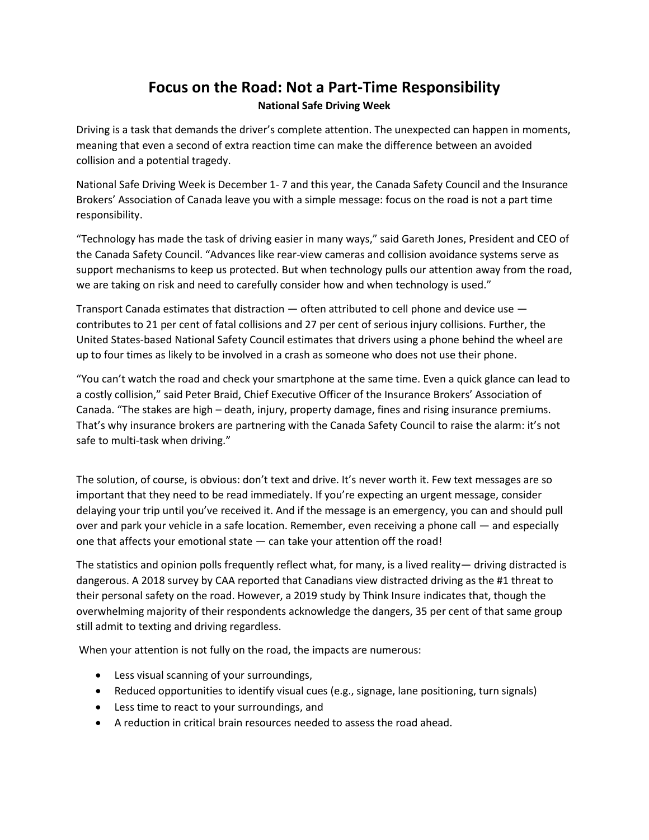## **Focus on the Road: Not a Part-Time Responsibility**

## **National Safe Driving Week**

Driving is a task that demands the driver's complete attention. The unexpected can happen in moments, meaning that even a second of extra reaction time can make the difference between an avoided collision and a potential tragedy.

National Safe Driving Week is December 1- 7 and this year, the Canada Safety Council and the Insurance Brokers' Association of Canada leave you with a simple message: focus on the road is not a part time responsibility.

"Technology has made the task of driving easier in many ways," said Gareth Jones, President and CEO of the Canada Safety Council. "Advances like rear-view cameras and collision avoidance systems serve as support mechanisms to keep us protected. But when technology pulls our attention away from the road, we are taking on risk and need to carefully consider how and when technology is used."

Transport Canada estimates that distraction — often attributed to cell phone and device use contributes to 21 per cent of fatal collisions and 27 per cent of serious injury collisions. Further, the United States-based National Safety Council estimates that drivers using a phone behind the wheel are up to four times as likely to be involved in a crash as someone who does not use their phone.

"You can't watch the road and check your smartphone at the same time. Even a quick glance can lead to a costly collision," said Peter Braid, Chief Executive Officer of the Insurance Brokers' Association of Canada. "The stakes are high – death, injury, property damage, fines and rising insurance premiums. That's why insurance brokers are partnering with the Canada Safety Council to raise the alarm: it's not safe to multi-task when driving."

The solution, of course, is obvious: don't text and drive. It's never worth it. Few text messages are so important that they need to be read immediately. If you're expecting an urgent message, consider delaying your trip until you've received it. And if the message is an emergency, you can and should pull over and park your vehicle in a safe location. Remember, even receiving a phone call — and especially one that affects your emotional state — can take your attention off the road!

The statistics and opinion polls frequently reflect what, for many, is a lived reality— driving distracted is dangerous. A 2018 survey by CAA reported that Canadians view distracted driving as the #1 threat to their personal safety on the road. However, a 2019 study by Think Insure indicates that, though the overwhelming majority of their respondents acknowledge the dangers, 35 per cent of that same group still admit to texting and driving regardless.

When your attention is not fully on the road, the impacts are numerous:

- Less visual scanning of your surroundings,
- Reduced opportunities to identify visual cues (e.g., signage, lane positioning, turn signals)
- Less time to react to your surroundings, and
- A reduction in critical brain resources needed to assess the road ahead.